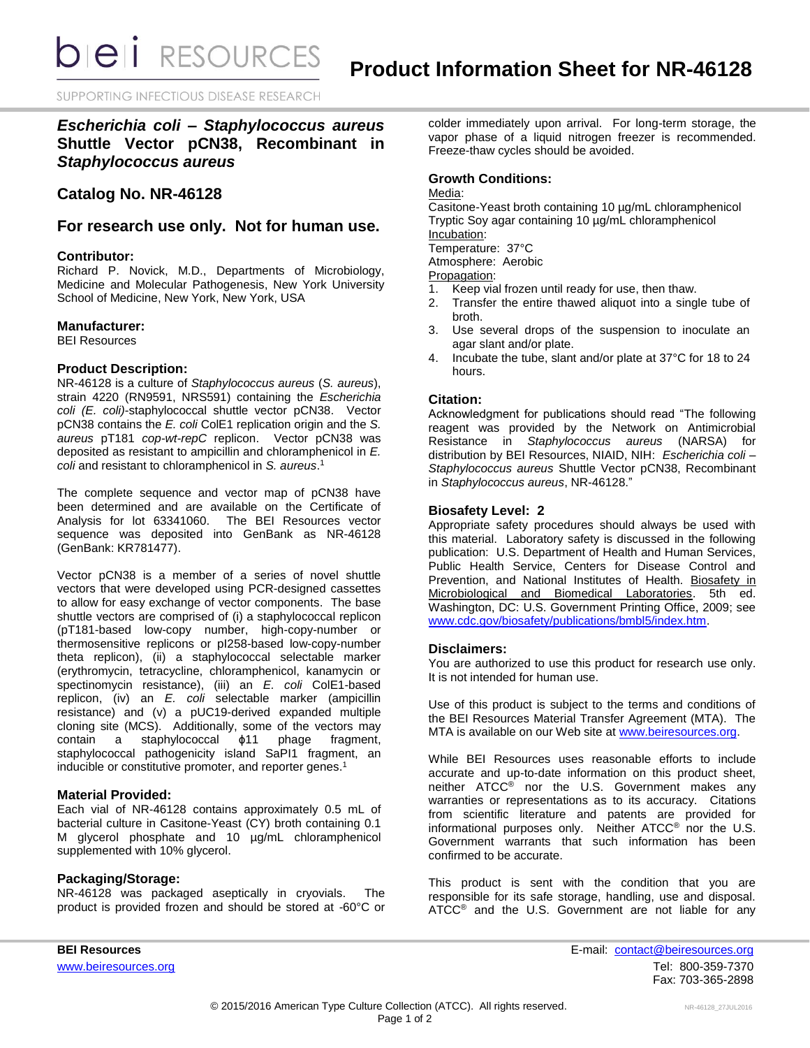**bieli** RESOURCES

SUPPORTING INFECTIOUS DISEASE RESEARCH

*Escherichia coli – Staphylococcus aureus* **Shuttle Vector pCN38, Recombinant in**  *Staphylococcus aureus*

# **Catalog No. NR-46128**

**For research use only. Not for human use.**

### **Contributor:**

Richard P. Novick, M.D., Departments of Microbiology, Medicine and Molecular Pathogenesis, New York University School of Medicine, New York, New York, USA

### **Manufacturer:**

BEI Resources

### **Product Description:**

NR-46128 is a culture of *Staphylococcus aureus* (*S. aureus*), strain 4220 (RN9591, NRS591) containing the *Escherichia coli (E. coli)*-staphylococcal shuttle vector pCN38. Vector pCN38 contains the *E. coli* ColE1 replication origin and the *S. aureus* pT181 *cop-wt-repC* replicon. Vector pCN38 was deposited as resistant to ampicillin and chloramphenicol in *E. coli* and resistant to chloramphenicol in *S. aureus*. 1

The complete sequence and vector map of pCN38 have been determined and are available on the Certificate of Analysis for lot 63341060. The BEI Resources vector sequence was deposited into GenBank as NR-46128 (GenBank: KR781477).

Vector pCN38 is a member of a series of novel shuttle vectors that were developed using PCR-designed cassettes to allow for easy exchange of vector components. The base shuttle vectors are comprised of (i) a staphylococcal replicon (pT181-based low-copy number, high-copy-number or thermosensitive replicons or pI258-based low-copy-number theta replicon), (ii) a staphylococcal selectable marker (erythromycin, tetracycline, chloramphenicol, kanamycin or spectinomycin resistance), (iii) an *E. coli* ColE1-based replicon, (iv) an *E. coli* selectable marker (ampicillin resistance) and (v) a pUC19-derived expanded multiple cloning site (MCS). Additionally, some of the vectors may contain a staphylococcal ϕ11 phage fragment, staphylococcal pathogenicity island SaPI1 fragment, an inducible or constitutive promoter, and reporter genes.<sup>1</sup>

# **Material Provided:**

Each vial of NR-46128 contains approximately 0.5 mL of bacterial culture in Casitone-Yeast (CY) broth containing 0.1 M glycerol phosphate and 10 µg/mL chloramphenicol supplemented with 10% glycerol.

# **Packaging/Storage:**

NR-46128 was packaged aseptically in cryovials. The product is provided frozen and should be stored at -60°C or colder immediately upon arrival. For long-term storage, the vapor phase of a liquid nitrogen freezer is recommended. Freeze-thaw cycles should be avoided.

## **Growth Conditions:**

#### Media:

Casitone-Yeast broth containing 10 µg/mL chloramphenicol Tryptic Soy agar containing 10 µg/mL chloramphenicol Incubation:

Temperature: 37°C

Atmosphere: Aerobic

Propagation:

- 1. Keep vial frozen until ready for use, then thaw.
- 2. Transfer the entire thawed aliquot into a single tube of broth.
- 3. Use several drops of the suspension to inoculate an agar slant and/or plate.
- 4. Incubate the tube, slant and/or plate at 37°C for 18 to 24 hours.

### **Citation:**

Acknowledgment for publications should read "The following reagent was provided by the Network on Antimicrobial Resistance in *Staphylococcus aureus* (NARSA) for distribution by BEI Resources, NIAID, NIH: *Escherichia coli – Staphylococcus aureus* Shuttle Vector pCN38, Recombinant in *Staphylococcus aureus*, NR-46128."

## **Biosafety Level: 2**

Appropriate safety procedures should always be used with this material. Laboratory safety is discussed in the following publication: U.S. Department of Health and Human Services, Public Health Service, Centers for Disease Control and Prevention, and National Institutes of Health. Biosafety in Microbiological and Biomedical Laboratories. 5th ed. Washington, DC: U.S. Government Printing Office, 2009; see [www.cdc.gov/biosafety/publications/bmbl5/index.htm.](http://www.cdc.gov/biosafety/publications/bmbl5/index.htm)

# **Disclaimers:**

You are authorized to use this product for research use only. It is not intended for human use.

Use of this product is subject to the terms and conditions of the BEI Resources Material Transfer Agreement (MTA). The MTA is available on our Web site at [www.beiresources.org.](http://www.beiresources.org/)

While BEI Resources uses reasonable efforts to include accurate and up-to-date information on this product sheet, neither ATCC<sup>®</sup> nor the U.S. Government makes any warranties or representations as to its accuracy. Citations from scientific literature and patents are provided for informational purposes only. Neither ATCC® nor the U.S. Government warrants that such information has been confirmed to be accurate.

This product is sent with the condition that you are responsible for its safe storage, handling, use and disposal. ATCC® and the U.S. Government are not liable for any

**BEI Resources** E-mail: [contact@beiresources.org](mailto:contact@beiresources.org) [www.beiresources.org](http://www.beiresources.org/)Tel: 800-359-7370 Fax: 703-365-2898